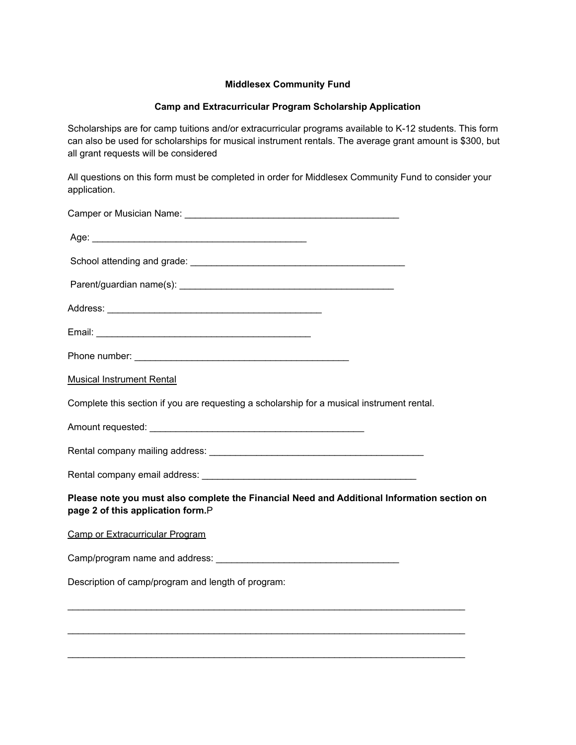## **Middlesex Community Fund**

## **Camp and Extracurricular Program Scholarship Application**

Scholarships are for camp tuitions and/or extracurricular programs available to K-12 students. This form can also be used for scholarships for musical instrument rentals. The average grant amount is \$300, but all grant requests will be considered

All questions on this form must be completed in order for Middlesex Community Fund to consider your application.

| <b>Musical Instrument Rental</b>                                                                                                 |
|----------------------------------------------------------------------------------------------------------------------------------|
| Complete this section if you are requesting a scholarship for a musical instrument rental.                                       |
|                                                                                                                                  |
|                                                                                                                                  |
|                                                                                                                                  |
| Please note you must also complete the Financial Need and Additional Information section on<br>page 2 of this application form.P |
| <b>Camp or Extracurricular Program</b>                                                                                           |
|                                                                                                                                  |
| Description of camp/program and length of program:                                                                               |
|                                                                                                                                  |
|                                                                                                                                  |

 $\mathcal{L}_\text{max}$  , and the set of the set of the set of the set of the set of the set of the set of the set of the set of the set of the set of the set of the set of the set of the set of the set of the set of the set of the